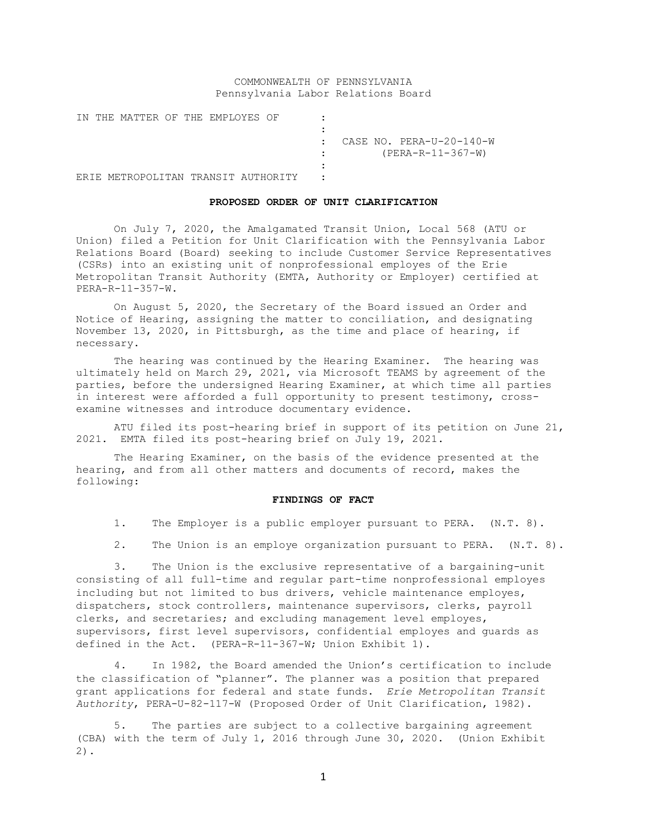# COMMONWEALTH OF PENNSYLVANIA Pennsylvania Labor Relations Board

IN THE MATTER OF THE EMPLOYES OF : : : CASE NO. PERA-U-20-140-W : (PERA-R-11-367-W) : ERIE METROPOLITAN TRANSIT AUTHORITY :

#### **PROPOSED ORDER OF UNIT CLARIFICATION**

On July 7, 2020, the Amalgamated Transit Union, Local 568 (ATU or Union) filed a Petition for Unit Clarification with the Pennsylvania Labor Relations Board (Board) seeking to include Customer Service Representatives (CSRs) into an existing unit of nonprofessional employes of the Erie Metropolitan Transit Authority (EMTA, Authority or Employer) certified at PERA-R-11-357-W.

On August 5, 2020, the Secretary of the Board issued an Order and Notice of Hearing, assigning the matter to conciliation, and designating November 13, 2020, in Pittsburgh, as the time and place of hearing, if necessary.

The hearing was continued by the Hearing Examiner. The hearing was ultimately held on March 29, 2021, via Microsoft TEAMS by agreement of the parties, before the undersigned Hearing Examiner, at which time all parties in interest were afforded a full opportunity to present testimony, crossexamine witnesses and introduce documentary evidence.

ATU filed its post-hearing brief in support of its petition on June 21, 2021. EMTA filed its post-hearing brief on July 19, 2021.

The Hearing Examiner, on the basis of the evidence presented at the hearing, and from all other matters and documents of record, makes the following:

## **FINDINGS OF FACT**

- 1. The Employer is a public employer pursuant to PERA. (N.T. 8).
- 2. The Union is an employe organization pursuant to PERA. (N.T. 8).

3. The Union is the exclusive representative of a bargaining-unit consisting of all full-time and regular part-time nonprofessional employes including but not limited to bus drivers, vehicle maintenance employes, dispatchers, stock controllers, maintenance supervisors, clerks, payroll clerks, and secretaries; and excluding management level employes, supervisors, first level supervisors, confidential employes and guards as defined in the Act. (PERA-R-11-367-W; Union Exhibit 1).

4. In 1982, the Board amended the Union's certification to include the classification of "planner". The planner was a position that prepared grant applications for federal and state funds. *Erie Metropolitan Transit Authority*, PERA-U-82-117-W (Proposed Order of Unit Clarification, 1982).

5. The parties are subject to a collective bargaining agreement (CBA) with the term of July 1, 2016 through June 30, 2020. (Union Exhibit 2).

1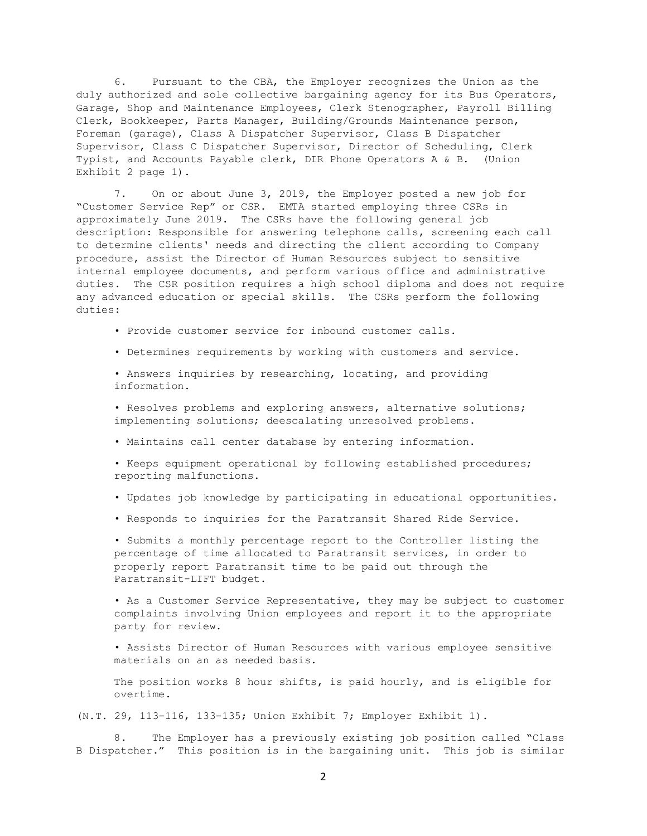6. Pursuant to the CBA, the Employer recognizes the Union as the duly authorized and sole collective bargaining agency for its Bus Operators, Garage, Shop and Maintenance Employees, Clerk Stenographer, Payroll Billing Clerk, Bookkeeper, Parts Manager, Building/Grounds Maintenance person, Foreman (garage), Class A Dispatcher Supervisor, Class B Dispatcher Supervisor, Class C Dispatcher Supervisor, Director of Scheduling, Clerk Typist, and Accounts Payable clerk, DIR Phone Operators A & B. (Union Exhibit 2 page 1).

7. On or about June 3, 2019, the Employer posted a new job for "Customer Service Rep" or CSR. EMTA started employing three CSRs in approximately June 2019. The CSRs have the following general job description: Responsible for answering telephone calls, screening each call to determine clients' needs and directing the client according to Company procedure, assist the Director of Human Resources subject to sensitive internal employee documents, and perform various office and administrative duties. The CSR position requires a high school diploma and does not require any advanced education or special skills. The CSRs perform the following duties:

• Provide customer service for inbound customer calls.

• Determines requirements by working with customers and service.

• Answers inquiries by researching, locating, and providing information.

• Resolves problems and exploring answers, alternative solutions; implementing solutions; deescalating unresolved problems.

• Maintains call center database by entering information.

• Keeps equipment operational by following established procedures; reporting malfunctions.

- Updates job knowledge by participating in educational opportunities.
- Responds to inquiries for the Paratransit Shared Ride Service.

• Submits a monthly percentage report to the Controller listing the percentage of time allocated to Paratransit services, in order to properly report Paratransit time to be paid out through the Paratransit-LIFT budget.

• As a Customer Service Representative, they may be subject to customer complaints involving Union employees and report it to the appropriate party for review.

• Assists Director of Human Resources with various employee sensitive materials on an as needed basis.

The position works 8 hour shifts, is paid hourly, and is eligible for overtime.

(N.T. 29, 113-116, 133-135; Union Exhibit 7; Employer Exhibit 1).

8. The Employer has a previously existing job position called "Class B Dispatcher." This position is in the bargaining unit. This job is similar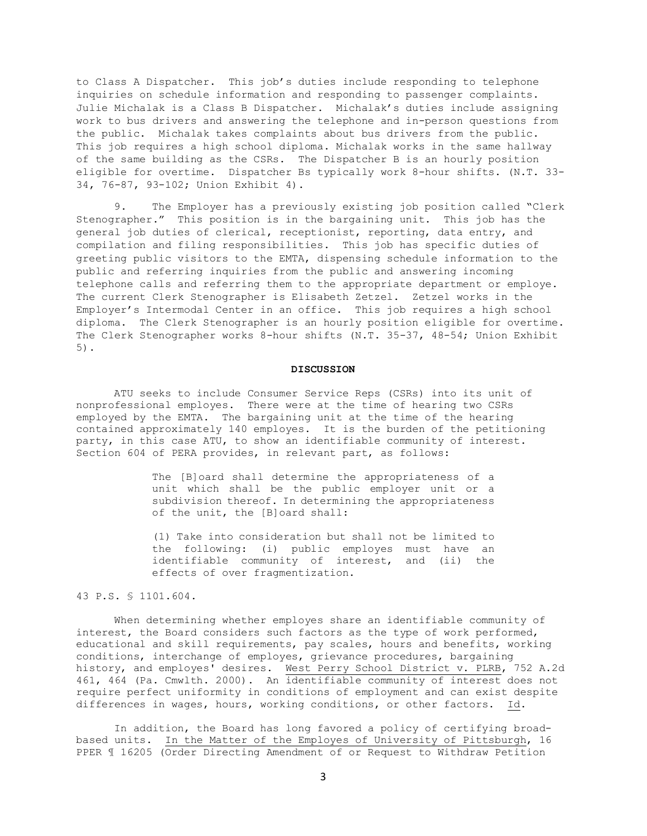to Class A Dispatcher. This job's duties include responding to telephone inquiries on schedule information and responding to passenger complaints. Julie Michalak is a Class B Dispatcher. Michalak's duties include assigning work to bus drivers and answering the telephone and in-person questions from the public. Michalak takes complaints about bus drivers from the public. This job requires a high school diploma. Michalak works in the same hallway of the same building as the CSRs. The Dispatcher B is an hourly position eligible for overtime. Dispatcher Bs typically work 8-hour shifts. (N.T. 33- 34, 76-87, 93-102; Union Exhibit 4).

9. The Employer has a previously existing job position called "Clerk Stenographer." This position is in the bargaining unit. This job has the general job duties of clerical, receptionist, reporting, data entry, and compilation and filing responsibilities. This job has specific duties of greeting public visitors to the EMTA, dispensing schedule information to the public and referring inquiries from the public and answering incoming telephone calls and referring them to the appropriate department or employe. The current Clerk Stenographer is Elisabeth Zetzel. Zetzel works in the Employer's Intermodal Center in an office. This job requires a high school diploma. The Clerk Stenographer is an hourly position eligible for overtime. The Clerk Stenographer works 8-hour shifts (N.T. 35-37, 48-54; Union Exhibit 5).

#### **DISCUSSION**

ATU seeks to include Consumer Service Reps (CSRs) into its unit of nonprofessional employes. There were at the time of hearing two CSRs employed by the EMTA. The bargaining unit at the time of the hearing contained approximately 140 employes. It is the burden of the petitioning party, in this case ATU, to show an identifiable community of interest. Section 604 of PERA provides, in relevant part, as follows:

> The [B]oard shall determine the appropriateness of a unit which shall be the public employer unit or a subdivision thereof. In determining the appropriateness of the unit, the [B]oard shall:

> (1) Take into consideration but shall not be limited to the following: (i) public employes must have an identifiable community of interest, and (ii) the effects of over fragmentization.

## 43 P.S. § 1101.604.

When determining whether employes share an identifiable community of interest, the Board considers such factors as the type of work performed, educational and skill requirements, pay scales, hours and benefits, working conditions, interchange of employes, grievance procedures, bargaining history, and employes' desires. <u>West Perry School District v. PLRB</u>, 752 A.2d 461, 464 (Pa. Cmwlth. 2000). An identifiable community of interest does not require perfect uniformity in conditions of employment and can exist despite differences in wages, hours, working conditions, or other factors. Id.

In addition, the Board has long favored a policy of certifying broadbased units. In the Matter of the Employes of University of Pittsburgh, 16 PPER ¶ 16205 (Order Directing Amendment of or Request to Withdraw Petition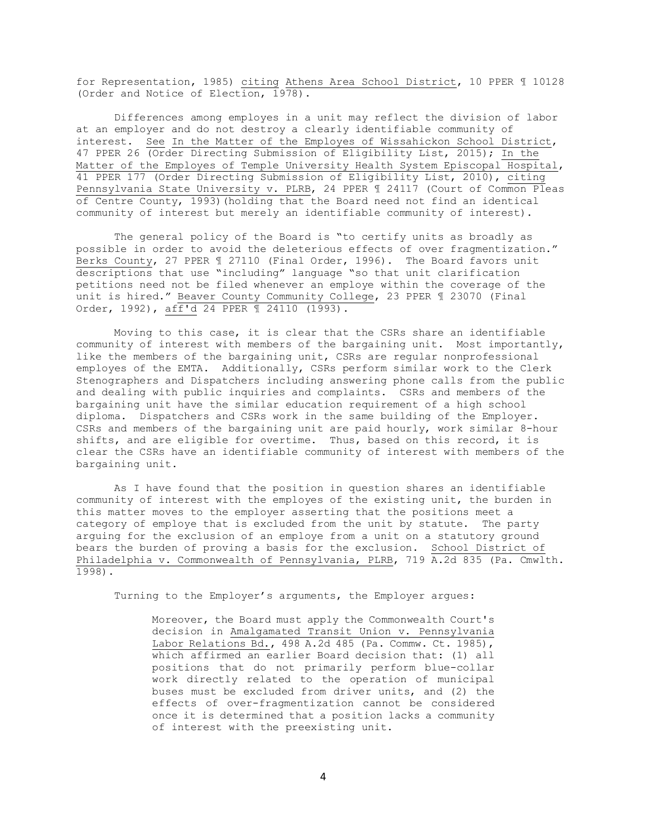for Representation, 1985) citing Athens Area School District, 10 PPER ¶ 10128 (Order and Notice of Election, 1978).

Differences among employes in a unit may reflect the division of labor at an employer and do not destroy a clearly identifiable community of interest. See In the Matter of the Employes of Wissahickon School District, 47 PPER 26 (Order Directing Submission of Eligibility List, 2015); In the Matter of the Employes of Temple University Health System Episcopal Hospital, 41 PPER 177 (Order Directing Submission of Eligibility List, 2010), citing Pennsylvania State University v. PLRB, 24 PPER 1 24117 (Court of Common Pleas of Centre County, 1993) (holding that the Board need not find an identical community of interest but merely an identifiable community of interest).

The general policy of the Board is "to certify units as broadly as possible in order to avoid the deleterious effects of over fragmentization." Berks County, 27 PPER ¶ 27110 (Final Order, 1996). The Board favors unit descriptions that use "including" language "so that unit clarification petitions need not be filed whenever an employe within the coverage of the unit is hired." Beaver County Community College, 23 PPER ¶ 23070 (Final Order, 1992), aff'd 24 PPER ¶ 24110 (1993).

Moving to this case, it is clear that the CSRs share an identifiable community of interest with members of the bargaining unit. Most importantly, like the members of the bargaining unit, CSRs are regular nonprofessional employes of the EMTA. Additionally, CSRs perform similar work to the Clerk Stenographers and Dispatchers including answering phone calls from the public and dealing with public inquiries and complaints. CSRs and members of the bargaining unit have the similar education requirement of a high school diploma. Dispatchers and CSRs work in the same building of the Employer. CSRs and members of the bargaining unit are paid hourly, work similar 8-hour shifts, and are eligible for overtime. Thus, based on this record, it is clear the CSRs have an identifiable community of interest with members of the bargaining unit.

As I have found that the position in question shares an identifiable community of interest with the employes of the existing unit, the burden in this matter moves to the employer asserting that the positions meet a category of employe that is excluded from the unit by statute. The party arguing for the exclusion of an employe from a unit on a statutory ground bears the burden of proving a basis for the exclusion. School District of Philadelphia v. Commonwealth of Pennsylvania, PLRB, 719 A.2d 835 (Pa. Cmwlth. 1998).

Turning to the Employer's arguments, the Employer argues:

Moreover, the Board must apply the Commonwealth Court's decision in Amalgamated Transit Union v. Pennsylvania Labor Relations Bd., 498 A.2d 485 (Pa. Commw. Ct. 1985), which affirmed an earlier Board decision that: (1) all positions that do not primarily perform blue-collar work directly related to the operation of municipal buses must be excluded from driver units, and (2) the effects of over-fragmentization cannot be considered once it is determined that a position lacks a community of interest with the preexisting unit.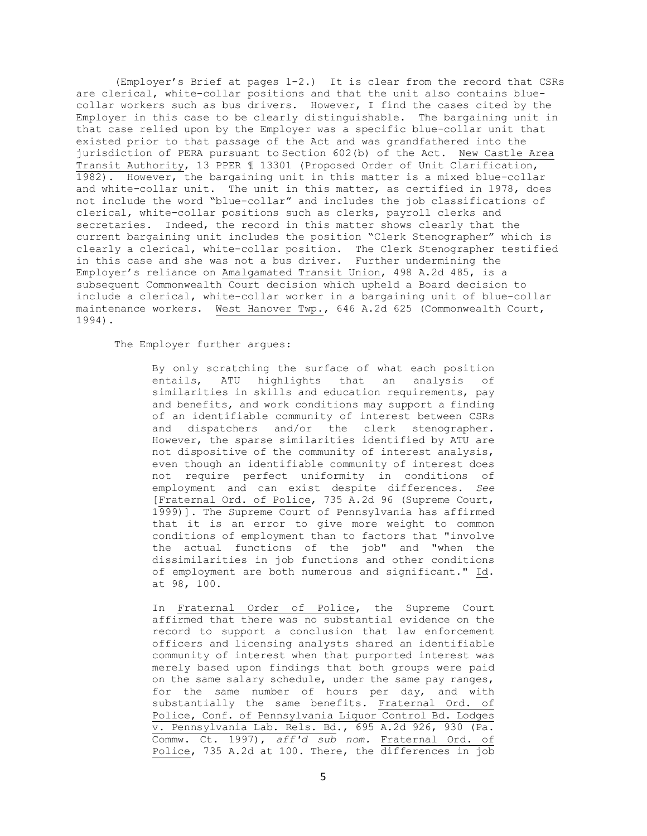(Employer's Brief at pages 1-2.) It is clear from the record that CSRs are clerical, white-collar positions and that the unit also contains bluecollar workers such as bus drivers. However, I find the cases cited by the Employer in this case to be clearly distinguishable. The bargaining unit in that case relied upon by the Employer was a specific blue-collar unit that existed prior to that passage of the Act and was grandfathered into the jurisdiction of PERA pursuant to Section 602(b) of the Act. New Castle Area Transit Authority, 13 PPER ¶ 13301 (Proposed Order of Unit Clarification, 1982). However, the bargaining unit in this matter is a mixed blue-collar and white-collar unit. The unit in this matter, as certified in 1978, does not include the word "blue-collar" and includes the job classifications of clerical, white-collar positions such as clerks, payroll clerks and secretaries. Indeed, the record in this matter shows clearly that the current bargaining unit includes the position "Clerk Stenographer" which is clearly a clerical, white-collar position. The Clerk Stenographer testified in this case and she was not a bus driver. Further undermining the Employer's reliance on Amalgamated Transit Union, 498 A.2d 485, is a subsequent Commonwealth Court decision which upheld a Board decision to include a clerical, white-collar worker in a bargaining unit of blue-collar maintenance workers. West Hanover Twp., 646 A.2d 625 (Commonwealth Court, 1994).

The Employer further argues:

By only scratching the surface of what each position entails, ATU highlights that an analysis of similarities in skills and education requirements, pay and benefits, and work conditions may support a finding of an identifiable community of interest between CSRs and dispatchers and/or the clerk stenographer. However, the sparse similarities identified by ATU are not dispositive of the community of interest analysis, even though an identifiable community of interest does not require perfect uniformity in conditions of employment and can exist despite differences. *See* [Fraternal Ord. of Police, 735 A.2d 96 (Supreme Court, 1999)]. The Supreme Court of Pennsylvania has affirmed that it is an error to give more weight to common conditions of employment than to factors that "involve the actual functions of the job" and "when the dissimilarities in job functions and other conditions of employment are both numerous and significant." Id. at 98, 100.

In Fraternal Order of Police, the Supreme Court affirmed that there was no substantial evidence on the record to support a conclusion that law enforcement officers and licensing analysts shared an identifiable community of interest when that purported interest was merely based upon findings that both groups were paid on the same salary schedule, under the same pay ranges, for the same number of hours per day, and with substantially the same benefits. Fraternal Ord. of Police, Conf. of Pennsylvania Liquor Control Bd. Lodges v. Pennsylvania Lab. Rels. Bd., 695 A.2d 926, 930 (Pa. Commw. Ct. 1997), *aff'd sub nom.* Fraternal Ord. of Police, 735 A.2d at 100. There, the differences in job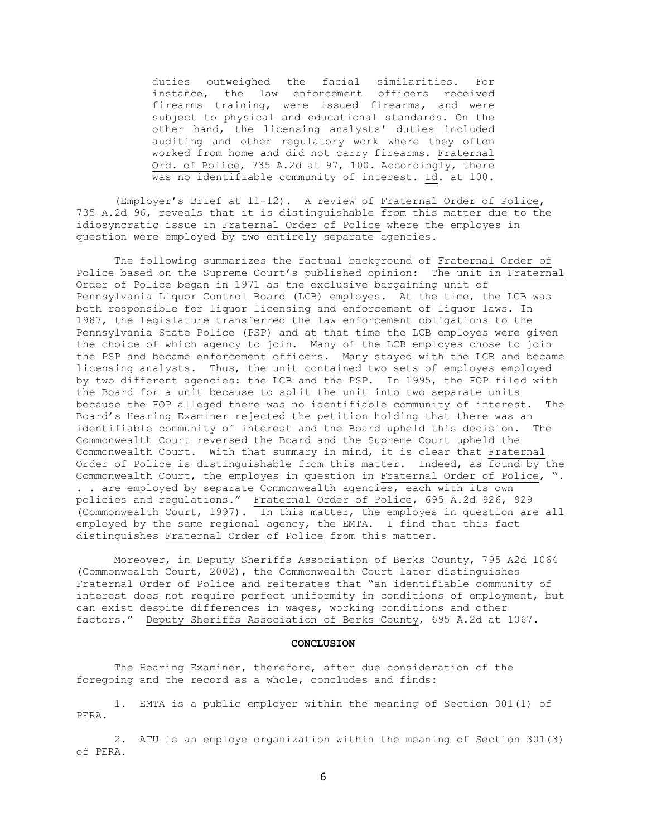duties outweighed the facial similarities. For instance, the law enforcement officers received firearms training, were issued firearms, and were subject to physical and educational standards. On the other hand, the licensing analysts' duties included auditing and other regulatory work where they often worked from home and did not carry firearms. Fraternal Ord. of Police, 735 A.2d at 97, 100. Accordingly, there was no identifiable community of interest. Id. at 100.

(Employer's Brief at 11-12). A review of Fraternal Order of Police, 735 A.2d 96, reveals that it is distinguishable from this matter due to the idiosyncratic issue in Fraternal Order of Police where the employes in question were employed by two entirely separate agencies.

The following summarizes the factual background of Fraternal Order of Police based on the Supreme Court's published opinion: The unit in Fraternal Order of Police began in 1971 as the exclusive bargaining unit of Pennsylvania Liquor Control Board (LCB) employes. At the time, the LCB was both responsible for liquor licensing and enforcement of liquor laws. In 1987, the legislature transferred the law enforcement obligations to the Pennsylvania State Police (PSP) and at that time the LCB employes were given the choice of which agency to join. Many of the LCB employes chose to join the PSP and became enforcement officers. Many stayed with the LCB and became licensing analysts. Thus, the unit contained two sets of employes employed by two different agencies: the LCB and the PSP. In 1995, the FOP filed with the Board for a unit because to split the unit into two separate units because the FOP alleged there was no identifiable community of interest. The Board's Hearing Examiner rejected the petition holding that there was an identifiable community of interest and the Board upheld this decision. The Commonwealth Court reversed the Board and the Supreme Court upheld the Commonwealth Court. With that summary in mind, it is clear that Fraternal Order of Police is distinguishable from this matter. Indeed, as  $\overline{found by}$  the Commonwealth Court, the employes in question in Fraternal Order of Police, ". . . are employed by separate Commonwealth agencies, each with its own policies and regulations." Fraternal Order of Police, 695 A.2d 926, 929 (Commonwealth Court, 1997). In this matter, the employes in question are all employed by the same regional agency, the EMTA. I find that this fact distinguishes Fraternal Order of Police from this matter.

Moreover, in Deputy Sheriffs Association of Berks County, 795 A2d 1064 (Commonwealth Court, 2002), the Commonwealth Court later distinguishes Fraternal Order of Police and reiterates that "an identifiable community of interest does not require perfect uniformity in conditions of employment, but can exist despite differences in wages, working conditions and other factors." Deputy Sheriffs Association of Berks County, 695 A.2d at 1067.

#### **CONCLUSION**

The Hearing Examiner, therefore, after due consideration of the foregoing and the record as a whole, concludes and finds:

1. EMTA is a public employer within the meaning of Section 301(1) of PERA.

2. ATU is an employe organization within the meaning of Section 301(3) of PERA.